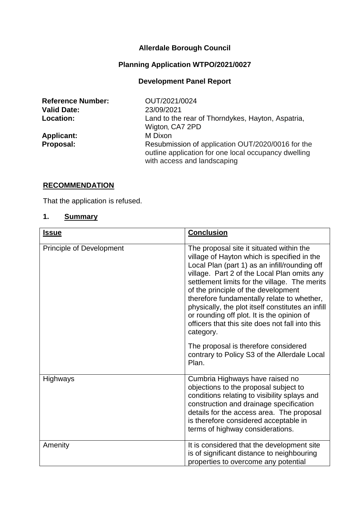## **Allerdale Borough Council**

# **Planning Application WTPO/2021/0027**

## **Development Panel Report**

| <b>Reference Number:</b> | OUT/2021/0024                                                                                                                            |  |
|--------------------------|------------------------------------------------------------------------------------------------------------------------------------------|--|
| <b>Valid Date:</b>       | 23/09/2021                                                                                                                               |  |
| <b>Location:</b>         | Land to the rear of Thorndykes, Hayton, Aspatria,<br>Wigton, CA7 2PD                                                                     |  |
| <b>Applicant:</b>        | M Dixon                                                                                                                                  |  |
| Proposal:                | Resubmission of application OUT/2020/0016 for the<br>outline application for one local occupancy dwelling<br>with access and landscaping |  |

## **RECOMMENDATION**

That the application is refused.

## **1. Summary**

| <b>Issue</b>                    | <b>Conclusion</b>                                                                                                                                                                                                                                                                                                                                                                                                                                                                                |
|---------------------------------|--------------------------------------------------------------------------------------------------------------------------------------------------------------------------------------------------------------------------------------------------------------------------------------------------------------------------------------------------------------------------------------------------------------------------------------------------------------------------------------------------|
| <b>Principle of Development</b> | The proposal site it situated within the<br>village of Hayton which is specified in the<br>Local Plan (part 1) as an infill/rounding off<br>village. Part 2 of the Local Plan omits any<br>settlement limits for the village. The merits<br>of the principle of the development<br>therefore fundamentally relate to whether,<br>physically, the plot itself constitutes an infill<br>or rounding off plot. It is the opinion of<br>officers that this site does not fall into this<br>category. |
|                                 | The proposal is therefore considered<br>contrary to Policy S3 of the Allerdale Local<br>Plan.                                                                                                                                                                                                                                                                                                                                                                                                    |
| <b>Highways</b>                 | Cumbria Highways have raised no<br>objections to the proposal subject to<br>conditions relating to visibility splays and<br>construction and drainage specification<br>details for the access area. The proposal<br>is therefore considered acceptable in<br>terms of highway considerations.                                                                                                                                                                                                    |
| Amenity                         | It is considered that the development site<br>is of significant distance to neighbouring<br>properties to overcome any potential                                                                                                                                                                                                                                                                                                                                                                 |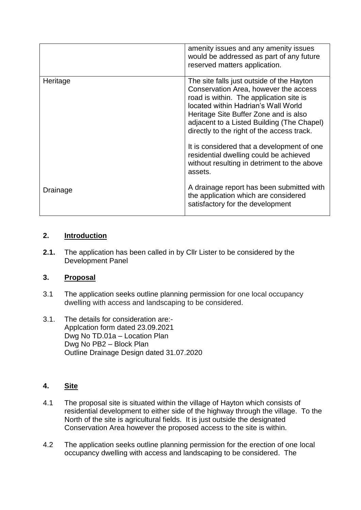|          | amenity issues and any amenity issues<br>would be addressed as part of any future<br>reserved matters application.                                                                                                                                                                                                                                                                                                                                          |
|----------|-------------------------------------------------------------------------------------------------------------------------------------------------------------------------------------------------------------------------------------------------------------------------------------------------------------------------------------------------------------------------------------------------------------------------------------------------------------|
| Heritage | The site falls just outside of the Hayton<br>Conservation Area, however the access<br>road is within. The application site is<br>located within Hadrian's Wall World<br>Heritage Site Buffer Zone and is also<br>adjacent to a Listed Building (The Chapel)<br>directly to the right of the access track.<br>It is considered that a development of one<br>residential dwelling could be achieved<br>without resulting in detriment to the above<br>assets. |
| Drainage | A drainage report has been submitted with<br>the application which are considered<br>satisfactory for the development                                                                                                                                                                                                                                                                                                                                       |

### **2. Introduction**

**2.1.** The application has been called in by Cllr Lister to be considered by the Development Panel

### **3. Proposal**

- 3.1 The application seeks outline planning permission for one local occupancy dwelling with access and landscaping to be considered.
- 3.1. The details for consideration are:- Applcation form dated 23.09.2021 Dwg No TD.01a – Location Plan Dwg No PB2 – Block Plan Outline Drainage Design dated 31.07.2020

## **4. Site**

- 4.1 The proposal site is situated within the village of Hayton which consists of residential development to either side of the highway through the village. To the North of the site is agricultural fields. It is just outside the designated Conservation Area however the proposed access to the site is within.
- 4.2 The application seeks outline planning permission for the erection of one local occupancy dwelling with access and landscaping to be considered. The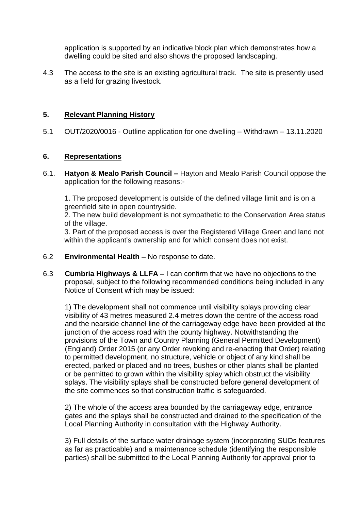application is supported by an indicative block plan which demonstrates how a dwelling could be sited and also shows the proposed landscaping.

4.3 The access to the site is an existing agricultural track. The site is presently used as a field for grazing livestock.

#### **5. Relevant Planning History**

5.1 OUT/2020/0016 - Outline application for one dwelling – Withdrawn – 13.11.2020

#### **6. Representations**

6.1. **Hatyon & Mealo Parish Council –** Hayton and Mealo Parish Council oppose the application for the following reasons:-

1. The proposed development is outside of the defined village limit and is on a greenfield site in open countryside.

2. The new build development is not sympathetic to the Conservation Area status of the village.

3. Part of the proposed access is over the Registered Village Green and land not within the applicant's ownership and for which consent does not exist.

- 6.2 **Environmental Health –** No response to date.
- 6.3 **Cumbria Highways & LLFA –** I can confirm that we have no objections to the proposal, subject to the following recommended conditions being included in any Notice of Consent which may be issued:

1) The development shall not commence until visibility splays providing clear visibility of 43 metres measured 2.4 metres down the centre of the access road and the nearside channel line of the carriageway edge have been provided at the junction of the access road with the county highway. Notwithstanding the provisions of the Town and Country Planning (General Permitted Development) (England) Order 2015 (or any Order revoking and re-enacting that Order) relating to permitted development, no structure, vehicle or object of any kind shall be erected, parked or placed and no trees, bushes or other plants shall be planted or be permitted to grown within the visibility splay which obstruct the visibility splays. The visibility splays shall be constructed before general development of the site commences so that construction traffic is safeguarded.

2) The whole of the access area bounded by the carriageway edge, entrance gates and the splays shall be constructed and drained to the specification of the Local Planning Authority in consultation with the Highway Authority.

3) Full details of the surface water drainage system (incorporating SUDs features as far as practicable) and a maintenance schedule (identifying the responsible parties) shall be submitted to the Local Planning Authority for approval prior to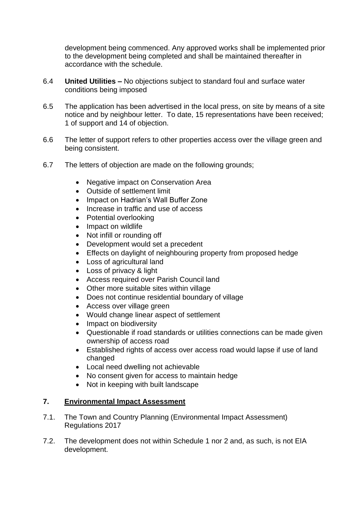development being commenced. Any approved works shall be implemented prior to the development being completed and shall be maintained thereafter in accordance with the schedule.

- 6.4 **United Utilities –** No objections subject to standard foul and surface water conditions being imposed
- 6.5 The application has been advertised in the local press, on site by means of a site notice and by neighbour letter. To date, 15 representations have been received; 1 of support and 14 of objection.
- 6.6 The letter of support refers to other properties access over the village green and being consistent.
- 6.7 The letters of objection are made on the following grounds;
	- Negative impact on Conservation Area
	- Outside of settlement limit
	- Impact on Hadrian's Wall Buffer Zone
	- Increase in traffic and use of access
	- Potential overlooking
	- Impact on wildlife
	- Not infill or rounding off
	- Development would set a precedent
	- Effects on daylight of neighbouring property from proposed hedge
	- Loss of agricultural land
	- Loss of privacy & light
	- Access required over Parish Council land
	- Other more suitable sites within village
	- Does not continue residential boundary of village
	- Access over village green
	- Would change linear aspect of settlement
	- Impact on biodiversity
	- Questionable if road standards or utilities connections can be made given ownership of access road
	- Established rights of access over access road would lapse if use of land changed
	- Local need dwelling not achievable
	- No consent given for access to maintain hedge
	- Not in keeping with built landscape

### **7. Environmental Impact Assessment**

- 7.1. The Town and Country Planning (Environmental Impact Assessment) Regulations 2017
- 7.2. The development does not within Schedule 1 nor 2 and, as such, is not EIA development.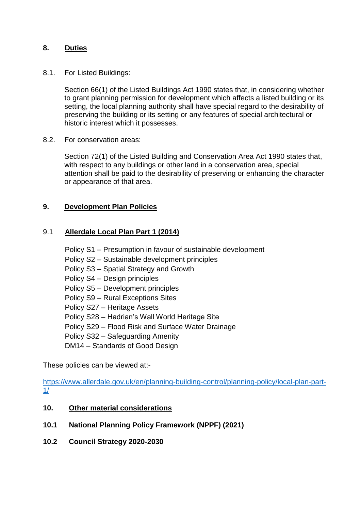#### **8. Duties**

8.1. For Listed Buildings:

Section 66(1) of the Listed Buildings Act 1990 states that, in considering whether to grant planning permission for development which affects a listed building or its setting, the local planning authority shall have special regard to the desirability of preserving the building or its setting or any features of special architectural or historic interest which it possesses.

8.2. For conservation areas:

Section 72(1) of the Listed Building and Conservation Area Act 1990 states that, with respect to any buildings or other land in a conservation area, special attention shall be paid to the desirability of preserving or enhancing the character or appearance of that area.

#### **9. Development Plan Policies**

#### 9.1 **Allerdale Local Plan Part 1 (2014)**

- Policy S1 Presumption in favour of sustainable development
- Policy S2 Sustainable development principles
- Policy S3 Spatial Strategy and Growth
- Policy S4 Design principles
- Policy S5 Development principles
- Policy S9 Rural Exceptions Sites
- Policy S27 Heritage Assets
- Policy S28 Hadrian's Wall World Heritage Site
- Policy S29 Flood Risk and Surface Water Drainage
- Policy S32 Safeguarding Amenity
- DM14 Standards of Good Design

These policies can be viewed at:-

[https://www.allerdale.gov.uk/en/planning-building-control/planning-policy/local-plan-part-](https://www.allerdale.gov.uk/en/planning-building-control/planning-policy/local-plan-part-1/)[1/](https://www.allerdale.gov.uk/en/planning-building-control/planning-policy/local-plan-part-1/)

#### **10. Other material considerations**

- **10.1 National Planning Policy Framework (NPPF) (2021)**
- **10.2 Council Strategy 2020-2030**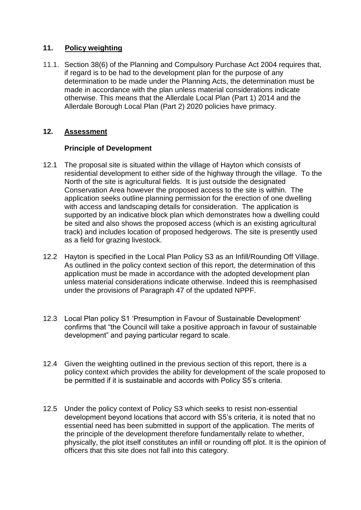### **11. Policy weighting**

11.1. Section 38(6) of the Planning and Compulsory Purchase Act 2004 requires that, if regard is to be had to the development plan for the purpose of any determination to be made under the Planning Acts, the determination must be made in accordance with the plan unless material considerations indicate otherwise. This means that the Allerdale Local Plan (Part 1) 2014 and the Allerdale Borough Local Plan (Part 2) 2020 policies have primacy.

#### **12. Assessment**

#### **Principle of Development**

- 12.1 The proposal site is situated within the village of Hayton which consists of residential development to either side of the highway through the village. To the North of the site is agricultural fields. It is just outside the designated Conservation Area however the proposed access to the site is within. The application seeks outline planning permission for the erection of one dwelling with access and landscaping details for consideration. The application is supported by an indicative block plan which demonstrates how a dwelling could be sited and also shows the proposed access (which is an existing agricultural track) and includes location of proposed hedgerows. The site is presently used as a field for grazing livestock.
- 12.2 Hayton is specified in the Local Plan Policy S3 as an Infill/Rounding Off Village. As outlined in the policy context section of this report, the determination of this application must be made in accordance with the adopted development plan unless material considerations indicate otherwise. Indeed this is reemphasised under the provisions of Paragraph 47 of the updated NPPF.
- 12.3 Local Plan policy S1 'Presumption in Favour of Sustainable Development' confirms that "the Council will take a positive approach in favour of sustainable development" and paying particular regard to scale.
- 12.4 Given the weighting outlined in the previous section of this report, there is a policy context which provides the ability for development of the scale proposed to be permitted if it is sustainable and accords with Policy S5's criteria.
- 12.5 Under the policy context of Policy S3 which seeks to resist non-essential development beyond locations that accord with S5's criteria, it is noted that no essential need has been submitted in support of the application. The merits of the principle of the development therefore fundamentally relate to whether, physically, the plot itself constitutes an infill or rounding off plot. It is the opinion of officers that this site does not fall into this category.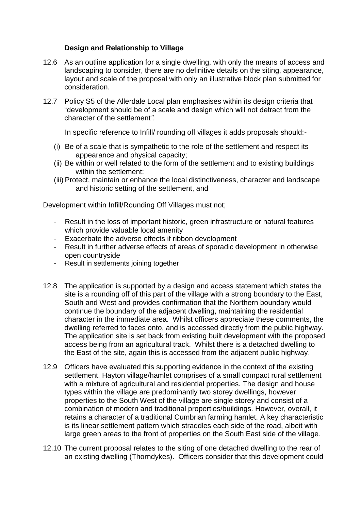#### **Design and Relationship to Village**

- 12.6 As an outline application for a single dwelling, with only the means of access and landscaping to consider, there are no definitive details on the siting, appearance, layout and scale of the proposal with only an illustrative block plan submitted for consideration.
- 12.7 Policy S5 of the Allerdale Local plan emphasises within its design criteria that "development should be of a scale and design which will not detract from the character of the settlement*".*

In specific reference to Infill/ rounding off villages it adds proposals should:-

- (i) Be of a scale that is sympathetic to the role of the settlement and respect its appearance and physical capacity;
- (ii) Be within or well related to the form of the settlement and to existing buildings within the settlement;
- (iii) Protect, maintain or enhance the local distinctiveness, character and landscape and historic setting of the settlement, and

Development within Infill/Rounding Off Villages must not;

- Result in the loss of important historic, green infrastructure or natural features which provide valuable local amenity
- Exacerbate the adverse effects if ribbon development
- Result in further adverse effects of areas of sporadic development in otherwise open countryside
- Result in settlements joining together
- 12.8 The application is supported by a design and access statement which states the site is a rounding off of this part of the village with a strong boundary to the East, South and West and provides confirmation that the Northern boundary would continue the boundary of the adjacent dwelling, maintaining the residential character in the immediate area. Whilst officers appreciate these comments, the dwelling referred to faces onto, and is accessed directly from the public highway. The application site is set back from existing built development with the proposed access being from an agricultural track. Whilst there is a detached dwelling to the East of the site, again this is accessed from the adjacent public highway.
- 12.9 Officers have evaluated this supporting evidence in the context of the existing settlement. Hayton village/hamlet comprises of a small compact rural settlement with a mixture of agricultural and residential properties. The design and house types within the village are predominantly two storey dwellings, however properties to the South West of the village are single storey and consist of a combination of modern and traditional properties/buildings. However, overall, it retains a character of a traditional Cumbrian farming hamlet. A key characteristic is its linear settlement pattern which straddles each side of the road, albeit with large green areas to the front of properties on the South East side of the village.
- 12.10 The current proposal relates to the siting of one detached dwelling to the rear of an existing dwelling (Thorndykes). Officers consider that this development could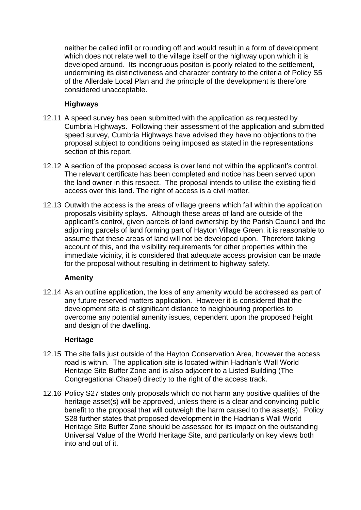neither be called infill or rounding off and would result in a form of development which does not relate well to the village itself or the highway upon which it is developed around. Its incongruous positon is poorly related to the settlement, undermining its distinctiveness and character contrary to the criteria of Policy S5 of the Allerdale Local Plan and the principle of the development is therefore considered unacceptable.

#### **Highways**

- 12.11 A speed survey has been submitted with the application as requested by Cumbria Highways. Following their assessment of the application and submitted speed survey, Cumbria Highways have advised they have no objections to the proposal subject to conditions being imposed as stated in the representations section of this report.
- 12.12 A section of the proposed access is over land not within the applicant's control. The relevant certificate has been completed and notice has been served upon the land owner in this respect. The proposal intends to utilise the existing field access over this land. The right of access is a civil matter.
- 12.13 Outwith the access is the areas of village greens which fall within the application proposals visibility splays. Although these areas of land are outside of the applicant's control, given parcels of land ownership by the Parish Council and the adjoining parcels of land forming part of Hayton Village Green, it is reasonable to assume that these areas of land will not be developed upon. Therefore taking account of this, and the visibility requirements for other properties within the immediate vicinity, it is considered that adequate access provision can be made for the proposal without resulting in detriment to highway safety.

#### **Amenity**

12.14 As an outline application, the loss of any amenity would be addressed as part of any future reserved matters application. However it is considered that the development site is of significant distance to neighbouring properties to overcome any potential amenity issues, dependent upon the proposed height and design of the dwelling.

### **Heritage**

- 12.15 The site falls just outside of the Hayton Conservation Area, however the access road is within. The application site is located within Hadrian's Wall World Heritage Site Buffer Zone and is also adjacent to a Listed Building (The Congregational Chapel) directly to the right of the access track.
- 12.16 Policy S27 states only proposals which do not harm any positive qualities of the heritage asset(s) will be approved, unless there is a clear and convincing public benefit to the proposal that will outweigh the harm caused to the asset(s). Policy S28 further states that proposed development in the Hadrian's Wall World Heritage Site Buffer Zone should be assessed for its impact on the outstanding Universal Value of the World Heritage Site, and particularly on key views both into and out of it.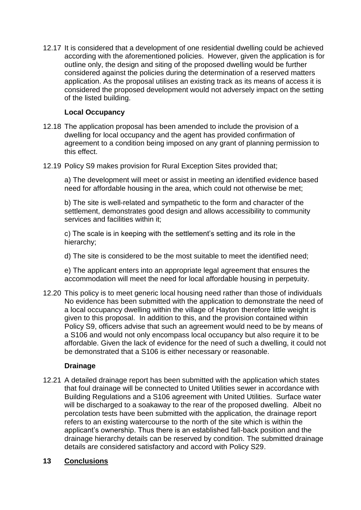12.17 It is considered that a development of one residential dwelling could be achieved according with the aforementioned policies. However, given the application is for outline only, the design and siting of the proposed dwelling would be further considered against the policies during the determination of a reserved matters application. As the proposal utilises an existing track as its means of access it is considered the proposed development would not adversely impact on the setting of the listed building.

#### **Local Occupancy**

- 12.18 The application proposal has been amended to include the provision of a dwelling for local occupancy and the agent has provided confirmation of agreement to a condition being imposed on any grant of planning permission to this effect.
- 12.19 Policy S9 makes provision for Rural Exception Sites provided that;

a) The development will meet or assist in meeting an identified evidence based need for affordable housing in the area, which could not otherwise be met;

b) The site is well-related and sympathetic to the form and character of the settlement, demonstrates good design and allows accessibility to community services and facilities within it;

c) The scale is in keeping with the settlement's setting and its role in the hierarchy;

d) The site is considered to be the most suitable to meet the identified need;

e) The applicant enters into an appropriate legal agreement that ensures the accommodation will meet the need for local affordable housing in perpetuity.

12.20 This policy is to meet generic local housing need rather than those of individuals No evidence has been submitted with the application to demonstrate the need of a local occupancy dwelling within the village of Hayton therefore little weight is given to this proposal. In addition to this, and the provision contained within Policy S9, officers advise that such an agreement would need to be by means of a S106 and would not only encompass local occupancy but also require it to be affordable. Given the lack of evidence for the need of such a dwelling, it could not be demonstrated that a S106 is either necessary or reasonable.

#### **Drainage**

12.21 A detailed drainage report has been submitted with the application which states that foul drainage will be connected to United Utilities sewer in accordance with Building Regulations and a S106 agreement with United Utilities. Surface water will be discharged to a soakaway to the rear of the proposed dwelling. Albeit no percolation tests have been submitted with the application, the drainage report refers to an existing watercourse to the north of the site which is within the applicant's ownership. Thus there is an established fall-back position and the drainage hierarchy details can be reserved by condition. The submitted drainage details are considered satisfactory and accord with Policy S29.

#### **13 Conclusions**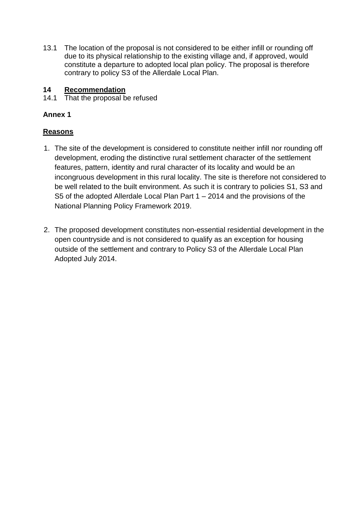13.1 The location of the proposal is not considered to be either infill or rounding off due to its physical relationship to the existing village and, if approved, would constitute a departure to adopted local plan policy. The proposal is therefore contrary to policy S3 of the Allerdale Local Plan.

### **14 Recommendation**

14.1 That the proposal be refused

### **Annex 1**

### **Reasons**

- 1. The site of the development is considered to constitute neither infill nor rounding off development, eroding the distinctive rural settlement character of the settlement features, pattern, identity and rural character of its locality and would be an incongruous development in this rural locality. The site is therefore not considered to be well related to the built environment. As such it is contrary to policies S1, S3 and S5 of the adopted Allerdale Local Plan Part 1 – 2014 and the provisions of the National Planning Policy Framework 2019.
- 2. The proposed development constitutes non-essential residential development in the open countryside and is not considered to qualify as an exception for housing outside of the settlement and contrary to Policy S3 of the Allerdale Local Plan Adopted July 2014.